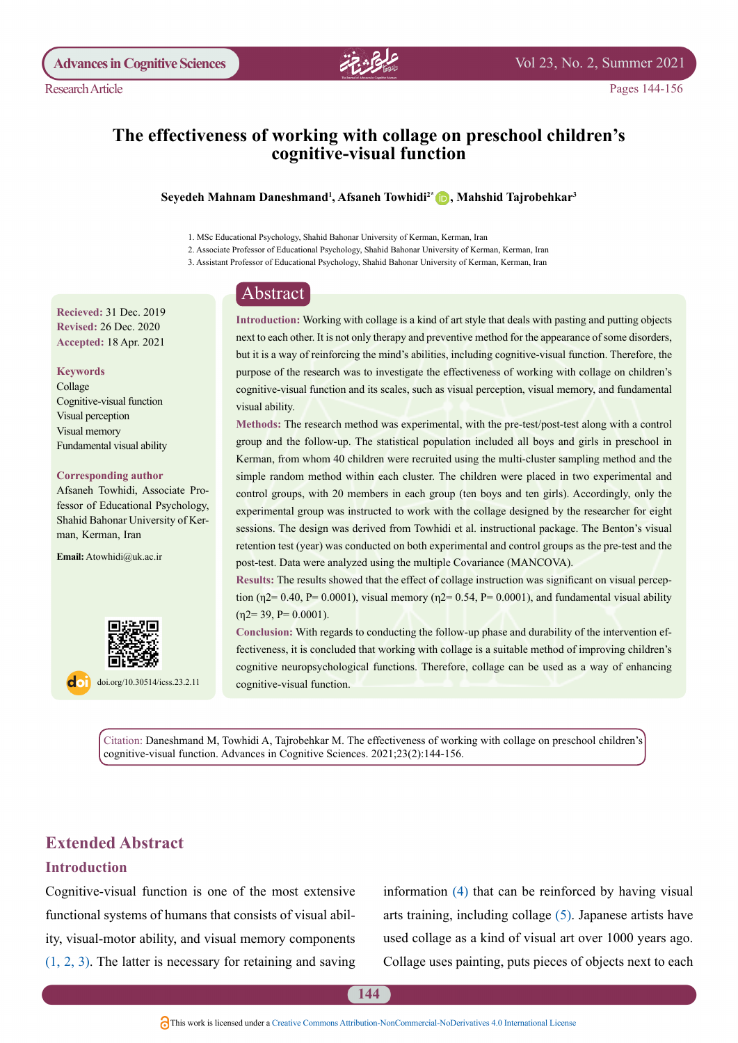

Pages 144-156

## The effectiveness of working with collage on preschool children's cognitive-visual function

#### Seyedeh Mahnam Daneshmand<sup>1</sup>, Afsaneh Towhidi<sup>2\*</sup> D, Mahshid Tajrobehkar<sup>3</sup>

1. MSc Educational Psychology, Shahid Bahonar University of Kerman, Kerman, Iran

2. Associate Professor of Educational Psychology, Shahid Bahonar University of Kerman, Kerman, Iran

3. Assistant Professor of Educational Psychology, Shahid Bahonar University of Kerman, Kerman, Iran

## Abstract

**Recieved: 31 Dec. 2019 Revised: 26 Dec. 2020** Accepted: 18 Apr. 2021

#### **Keywords**

Collage Cognitive-visual function Visual perception Visual memory Fundamental visual ability

#### **Corresponding author**

fessor of Educational Psychology, Afsaneh Towhidi, Associate Pro-Shahid Bahonar University of Ker-<br>man, Kerman, Iran

Email: Atowhidi@uk.ac.ir



doi.org/10.30514/icss.23.2.11

Introduction: Working with collage is a kind of art style that deals with pasting and putting objects next to each other. It is not only therapy and preventive method for the appearance of some disorders, but it is a way of reinforcing the mind's abilities, including cognitive-visual function. Therefore, the purpose of the research was to investigate the effectiveness of working with collage on children's cognitive-visual function and its scales, such as visual perception, visual memory, and fundamental visual ability.

Methods: The research method was experimental, with the pre-test/post-test along with a control group and the follow-up. The statistical population included all boys and girls in preschool in Kerman, from whom 40 children were recruited using the multi-cluster sampling method and the simple random method within each cluster. The children were placed in two experimental and control groups, with 20 members in each group (ten boys and ten girls). Accordingly, only the experimental group was instructed to work with the collage designed by the researcher for eight sessions. The design was derived from Towhidi et al. instructional package. The Benton's visual retention test (year) was conducted on both experimental and control groups as the pre-test and the post-test. Data were analyzed using the multiple Covariance (MANCOVA).

tion ( $\eta$ 2= 0.40, P= 0.0001), visual memory ( $\eta$ 2= 0.54, P= 0.0001), and fundamental visual ability **Results:** The results showed that the effect of collage instruction was significant on visual percep- $(n2=39, P= 0.0001).$ 

fectiveness, it is concluded that working with collage is a suitable method of improving children's Conclusion: With regards to conducting the follow-up phase and durability of the intervention efcognitive neuropsychological functions. Therefore, collage can be used as a way of enhancing cognitive-visual function.

Citation: Daneshmand M, Towhidi A, Tajrobehkar M. The effectiveness of working with collage on preschool children's cognitive-visual function. Advances in Cognitive Sciences.  $2021;23(2):144-156$ .

## **Extended Abstract**

#### **Introduction**

Cognitive-visual function is one of the most extensive ity, visual-motor ability, and visual memory components functional systems of humans that consists of visual abil- $(1, 2, 3)$  $(1, 2, 3)$  $(1, 2, 3)$ . The latter is necessary for retaining and saving information  $(4)$  $(4)$  $(4)$  that can be reinforced by having visual arts training, including collage  $(5)$  $(5)$  $(5)$ . Japanese artists have used collage as a kind of visual art over 1000 years ago. Collage uses painting, puts pieces of objects next to each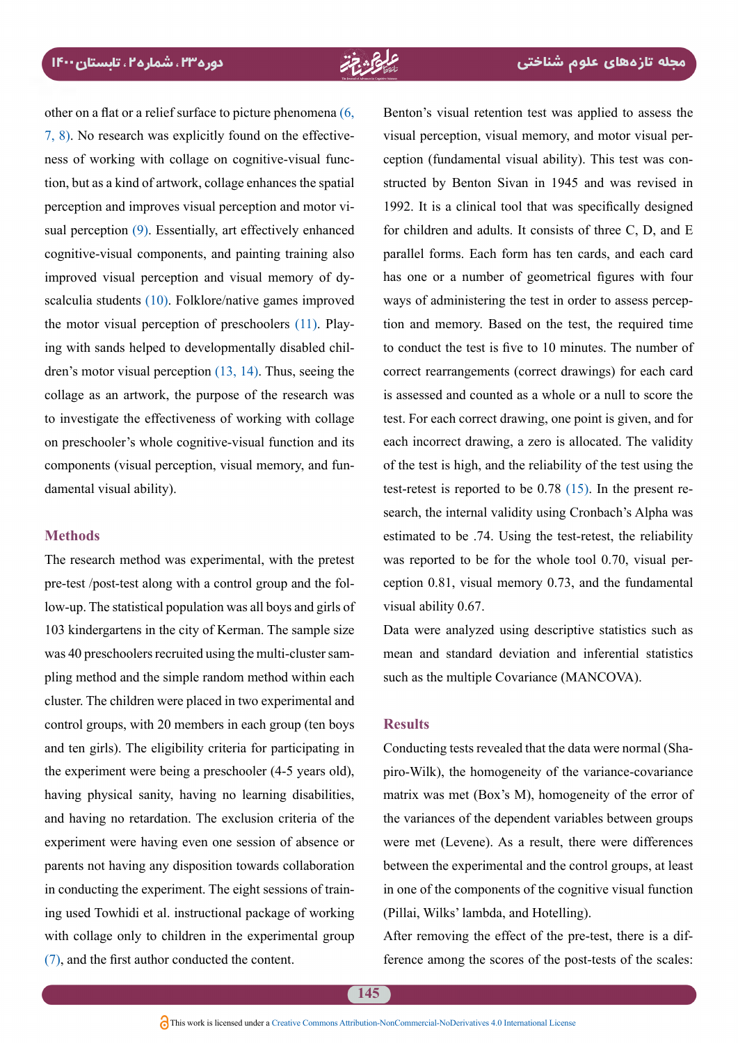other on a flat or a relief surface to picture phenomena  $(6, 6)$  $(6, 6)$  $(6, 6)$ tion, but as a kind of artwork, collage enhances the spatial ness of working with collage on cognitive-visual func- $(7, 8)$ . No research was explicitly found on the effectivesual perception  $(9)$ . Essentially, art effectively enhanced perception and improves visual perception and motor vicognitive-visual components, and painting training also scalculia students  $(10)$ . Folklore/native games improved improved visual perception and visual memory of dydren's motor visual perception  $(13, 14)$  $(13, 14)$  $(13, 14)$ . Thus, seeing the ing with sands helped to developmentally disabled chilthe motor visual perception of preschoolers  $(11)$  $(11)$  $(11)$ . Playcollage as an artwork, the purpose of the research was to investigate the effectiveness of working with collage on preschooler's whole cognitive-visual function and its components (visual perception, visual memory, and fun-<br>damental-visual ability).

#### **Methods**

The research method was experimental, with the pretest low-up. The statistical population was all boys and girls of pre-test /post-test along with a control group and the fol-103 kindergartens in the city of Kerman. The sample size pling method and the simple random method within each was 40 preschoolers recruited using the multi-cluster samcluster. The children were placed in two experimental and control groups, with 20 members in each group (ten boys and ten girls). The eligibility criteria for participating in the experiment were being a preschooler  $(4-5$  years old), having physical sanity, having no learning disabilities, and having no retardation. The exclusion criteria of the experiment were having even one session of absence or parents not having any disposition towards collaboration ing used Towhidi et al. instructional package of working in conducting the experiment. The eight sessions of trainwith collage only to children in the experimental group  $(7)$  $(7)$  $(7)$ , and the first author conducted the content.

Benton's visual retention test was applied to assess the structed by Benton Sivan in 1945 and was revised in ception (fundamental visual ability). This test was convisual perception, visual memory, and motor visual per-1992. It is a clinical tool that was specifically designed for children and adults. It consists of three C, D, and  $E$ parallel forms. Each form has ten cards, and each card has one or a number of geometrical figures with four tion and memory. Based on the test, the required time ways of administering the test in order to assess percepto conduct the test is five to 10 minutes. The number of correct rearrangements (correct drawings) for each card is assessed and counted as a whole or a null to score the test. For each correct drawing, one point is given, and for each incorrect drawing, a zero is allocated. The validity of the test is high, and the reliability of the test using the search, the internal validity using Cronbach's Alpha was test-retest is reported to be  $0.78$  (15). In the present reestimated to be .74. Using the test-retest, the reliability ception  $0.81$ , visual memory  $0.73$ , and the fundamental was reported to be for the whole tool  $0.70$ , visual pervisual ability 0.67.

Data were analyzed using descriptive statistics such as mean and standard deviation and inferential statistics such as the multiple Covariance (MANCOVA).

### **Results**

piro-Wilk), the homogeneity of the variance-covariance Conducting tests revealed that the data were normal (Shamatrix was met  $(Box's M)$ , homogeneity of the error of the variances of the dependent variables between groups were met (Levene). As a result, there were differences between the experimental and the control groups, at least in one of the components of the cognitive visual function (Pillai, Wilks' lambda, and Hotelling).

After removing the effect of the pre-test, there is a dif-<br>ference among the scores of the post-tests of the scales: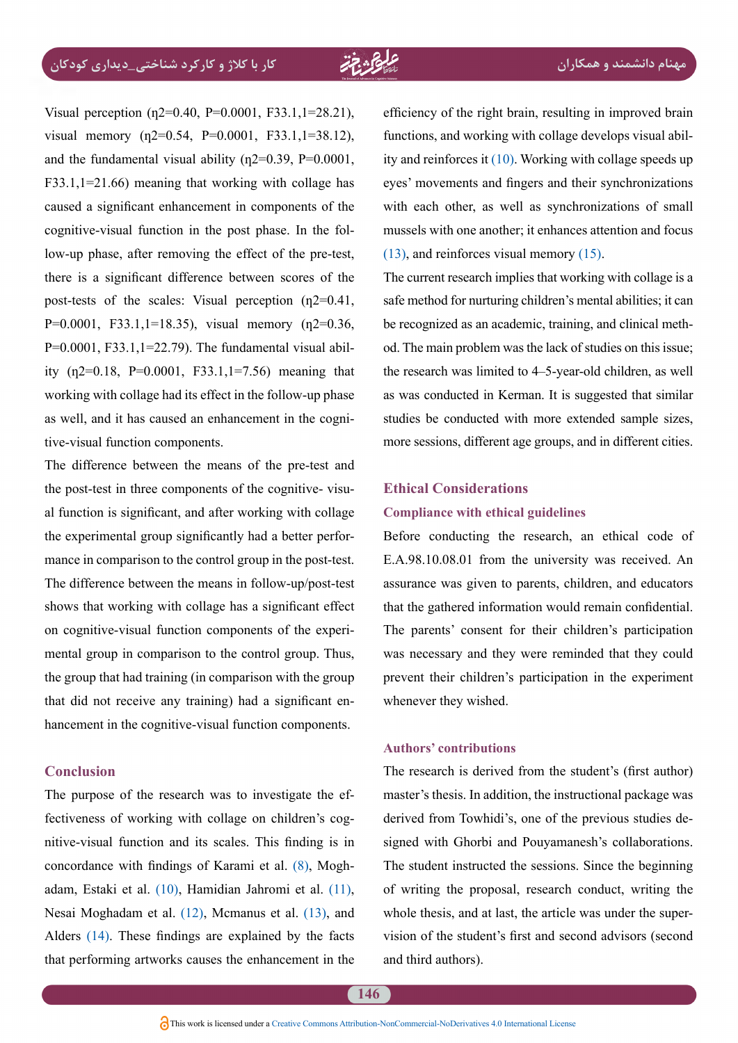Visual perception  $(p2=0.40, P=0.0001, F33.1, 1=28.21)$ , visual memory  $(n2=0.54, P=0.0001, F33.1, 1=38.12)$ , and the fundamental visual ability ( $\eta$ 2=0.39, P=0.0001,  $F33.1,1=21.66$ ) meaning that working with collage has caused a significant enhancement in components of the low-up phase, after removing the effect of the pre-test, cognitive-visual function in the post phase. In the folthere is a significant difference between scores of the post-tests of the scales: Visual perception  $(n2=0.41, ...)$  $P=0.0001$ , F33.1,1=18.35), visual memory (n2=0.36, ity  $(n2=0.18, P=0.0001, F33.1,1=7.56)$  meaning that  $P=0.0001$ , F33.1,1=22.79). The fundamental visual abilworking with collage had its effect in the follow-up phase as well, and it has caused an enhancement in the cogni-<br>tive-visual function components.

The difference between the means of the pre-test and al function is significant, and after working with collage the post-test in three components of the cognitive-visumance in comparison to the control group in the post-test. the experimental group significantly had a better perfor-The difference between the means in follow-up/post-test shows that working with collage has a significant effect mental group in comparison to the control group. Thus, on cognitive-visual function components of the experithe group that had training (in comparison with the group hancement in the cognitive-visual-function components. that did not receive any training) had a significant en-

### **Conclusion**

nitive-visual function and its scales. This finding is in fectiveness of working with collage on children's cog-The purpose of the research was to investigate the ef-adam, Estaki et al. (10), Hamidian Jahromi et al. [\(11\)](#page-11-10), concordance with findings of Karami et al.  $(8)$ , Mogh-Nesai Moghadam et al.  $(12)$ , Mcmanus et al.  $(13)$ , and Alders  $(14)$ . These findings are explained by the facts that performing artworks causes the enhancement in the efficiency of the right brain, resulting in improved brain ity and reinforces it  $(10)$  $(10)$  $(10)$ . Working with collage speeds up functions, and working with collage develops visual abileyes' movements and fingers and their synchronizations with each other, as well as synchronizations of small mussels with one another: it enhances attention and focus  $(13)$ , and reinforces visual memory  $(15)$  $(15)$ .

The current research implies that working with collage is a safe method for nurturing children's mental abilities; it can od. The main problem was the lack of studies on this issue: be recognized as an academic, training, and clinical meththe research was limited to 4–5-year-old children, as well as was conducted in Kerman. It is suggested that similar studies be conducted with more extended sample sizes, more sessions, different age groups, and in different cities.

#### **Ethical Considerations**

#### **Compliance with ethical guidelines**

Before conducting the research, an ethical code of E.A.98.10.08.01 from the university was received. An assurance was given to parents, children, and educators that the gathered information would remain confidential. The parents' consent for their children's participation was necessary and they were reminded that they could prevent their children's participation in the experiment whenever they wished.

#### **contributions' Authors**

The research is derived from the student's (first author) master's thesis. In addition, the instructional package was signed with Ghorbi and Pouyamanesh's collaborations. derived from Towhidi's, one of the previous studies de-The student instructed the sessions. Since the beginning of writing the proposal, research conduct, writing the vision of the student's first and second advisors (second whole thesis, and at last, the article was under the superand third authors).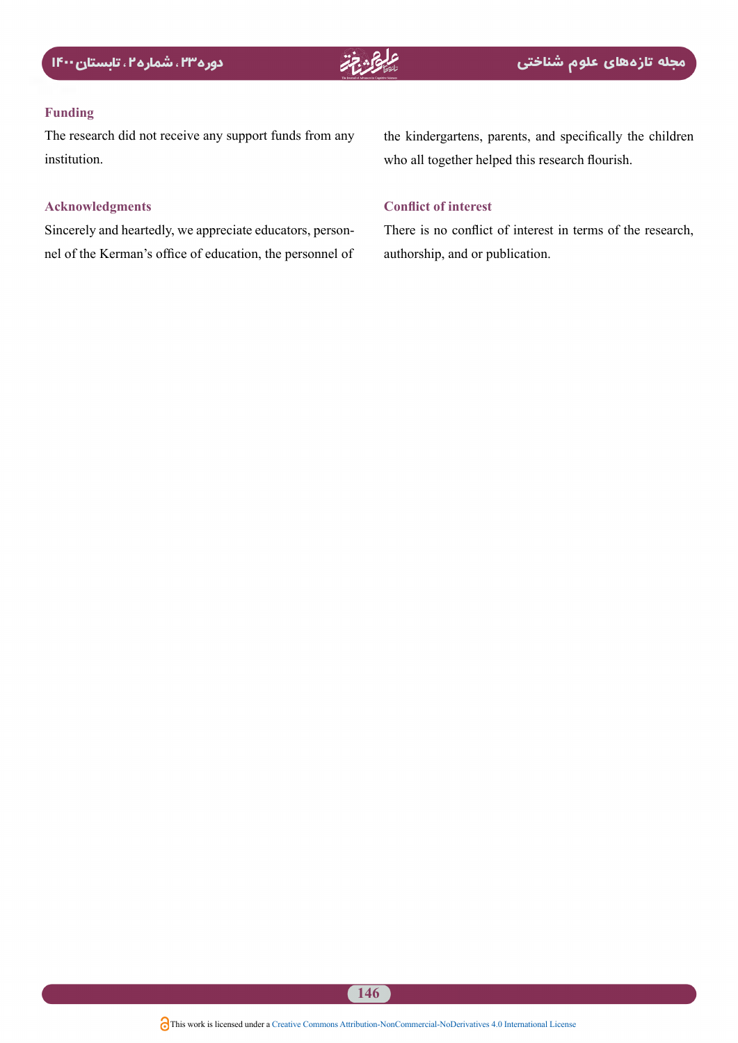#### **Funding**

The research did not receive any support funds from any institution.

### **Acknowledgments**

nel of the Kerman's office of education, the personnel of Sincerely and heartedly, we appreciate educators, personthe kindergartens, parents, and specifically the children who all together helped this research flourish.

### **Conflict of interest**

There is no conflict of interest in terms of the research, authorship, and or publication.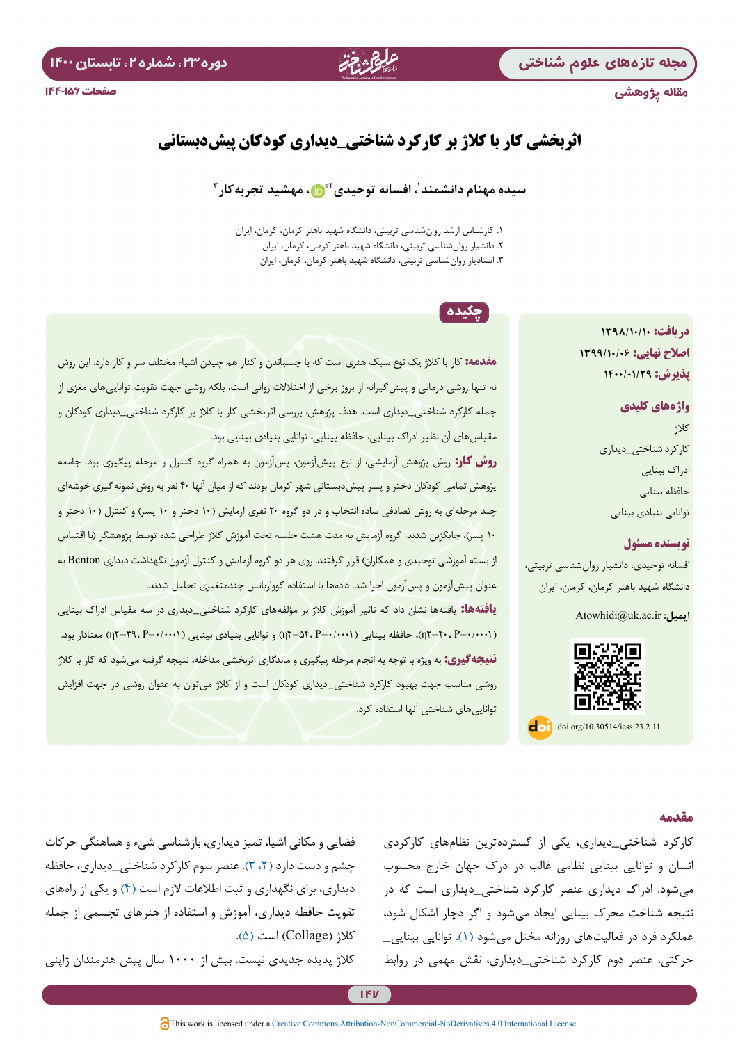مقاله پژوهشی



## **اثربخشی کار با کالژ بر کارکرد شناختی**\_**دیداری کودکان پیش دبستانی**

#### سیده مهنام دانشمند<sup>י</sup>، افسانه توحیدی<sup>۲</sup>۰ ما ، مهشید تجربه کار <sup>۳</sup>

.1 کارشناس ارشد روانشناسی تربیتی، دانشگاه شهید باهنر کرمان، کرمان، ایران .2 دانشیار روانشناسی تربیتی، دانشگاه شهید باهنر کرمان، کرمان، ایران .3 استادیار روانشناسی تربیتی، دانشگاه شهید باهنر کرمان، کرمان، ایران

## چکیده

**مقدمه:** کار با کالژ یک نوع سبک هنری است که با چسباندن و کنار هم چیدن اشیاء مختلف سر و کار دارد. این روش نه تنها روشی درمانی و پیشگیرانه از بروز برخی از اختالالت روانی است، بلکه روشی جهت تقویت تواناییهای مغزی از جمله کارکرد شناختی\_دیداری است. هدف پژوهش، بررسی اثربخشی کار با کالژ بر کارکرد شناختی\_دیداری کودکان و مقیاسهای آن نظیر ادراک بینایی، حافظه بینایی، توانایی بنیادی بینایی بود.

**روش کار:** روش پژوهش آزمایشی، از نوع پیشآزمون، پسآزمون به همراه گروه کنترل و مرحله پیگیری بود. جامعه پژوهش تمامی کودکان دختر و پسر پیشدبستانی شهر کرمان بودند که از میان آنها 40 نفر به روش نمونهگیری خوشهای چند مرحلهای به روش تصادفی ساده انتخاب و در دو گروه 20 نفری آزمایش )10 دختر و 10 پسر( و کنترل )10 دختر و <mark>۱۰ پسر)، جایگزین شدند. گروه آزمایش به مدت هشت جلسه تحت آموزش کلاژ طراحی شده توسط پژوهشگر (با اقتباس</mark> از بسته آموزشی توحیدی و همکاران) قرار گرفتند. روی هر دو گروه آزمایش و کنترل آزمون نگهداشت دیداری Benton به عنوان پیشآزمون و پسآزمون اجرا شد. دادهها با استفاده کوواریانس چندمتغیری تحلیل شدند. **یافته ها:** یافتهها نشان داد که تاثیر آموزش کالژ بر مؤلفههای کارکرد شناختی\_دیداری در سه مقیاس ادراک بینایی )0/0001=P 40،=2η)، حافظه بینایی )0/0001=P 54،=2η )و توانایی بنیادی بینایی )0/0001=P 39،=2η )معنادار بود. **نتیجهگیری:** به ویژه با توجه به انجام مرحله پیگیری و ماندگاری اثربخشی مداخله، نتیجه گرفته میشود که کار با کالژ

روشی مناسب جهت بهبود کارکرد شناختی\_دیداری کودکان است و از کالژ میتوان به عنوان روشی در جهت افزایش

**دریافت: 1398/10/10 اصالح نهایی: 1399/10/06 پذیرش: 1400/01/29**

> **واژه های کلیدی** کالژ کارکرد شناختی\_دیداری ادراک بینایی حافظه بینایی توانایی بنیادی بینایی

### **نویسنده مسئول**

**مقدمه**

افسانه توحیدی، دانشیار روانشناسی تربیتی، دانشگاه شهید باهنر کرمان، کرمان، ایران

**ایمیل:** ir.ac.uk@Atowhidi



کارکرد شناختی\_دیداری، یکی از گستردهترین نظامهای کارکردی انسان و توانایی بینایی نظامی غالب در درک جهان خارج محسوب میشود. ادراک دیداری عنصر کارکرد شناختی\_دیداری است که در نتیجه شناخت محرک بینایی ایجاد میشود و اگر دچار اشکال شود، عملکرد فرد در فعالیتهای روزانه مختل میشود )[1](#page-11-0)(. توانایی بینایی\_ حرکتی، عنصر دوم کارکرد شناختی\_دیداری، نقش مهمی در روابط

فضایی و مکانی اشیا، تمیز دیداری، بازشناسی شیء و هماهنگی حرکات چشم و دست دارد )،[2](#page-11-1) [3\(](#page-11-2). عنصر سوم کارکرد شناختی\_دیداری، حافظه دیداری، برای نگهداری و ثبت اطلاعات لازم است (۴) و یکی از راههای تقویت حافظه دیداری، آموزش و استفاده از هنرهای تجسمی از جمله  $\Delta$ کلاژ (Collage) است (۵).

کالژ پدیده جدیدی نیست. بیش از 1000 سال پیش هنرمندان ژاپنی

تواناییهای شناختی آنها استفاده کرد.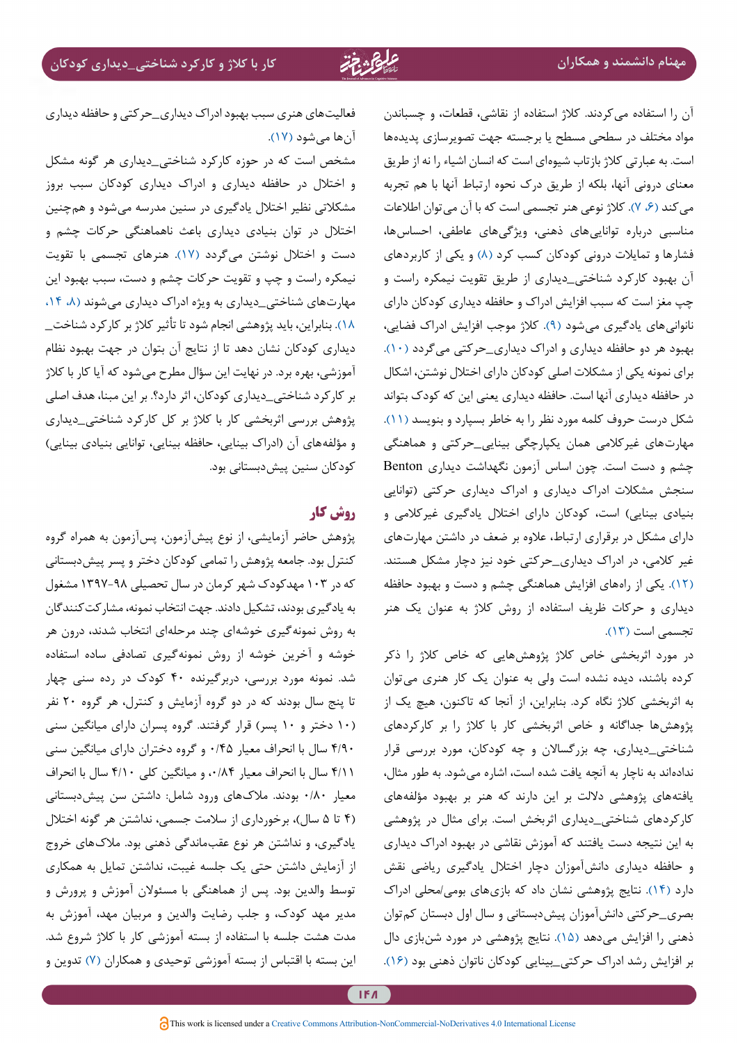آن را استفاده میکردند. کالژ استفاده از نقاشی، قطعات، و چسباندن مواد مختلف در سطحی مسطح یا برجسته جهت تصویرسازی پدیدهها است. به عبارتی کالژ بازتاب شیوهای است که انسان اشیاء را نه از طریق معنای درونی آنها، بلکه از طریق درک نحوه ارتباط آنها با هم تجربه می کند (۶، ۷). کلاژ نوعی هنر تجسمی است که با آن می توان اطلاعات مناسبی درباره تواناییهای ذهنی، ویژگیهای عاطفی، احساسها، فشارها و تمایلات درونی کودکان کسب کرد (۸) و یکی از کاربردهای آن بهبود کارکرد شناختی\_دیداری از طریق تقویت نیمکره راست و چپ مغز است که سبب افزایش ادراک و حافظه دیداری کودکان دارای نانوانیهای یادگیری میشود )[9\(](#page-11-8). کالژ موجب افزایش ادراک فضایی، بهبود هر دو حافظه دیداری و ادراک دیداری\_حرکتی میگردد [\)10](#page-11-9)(. برای نمونه یکی از مشکالت اصلی کودکان دارای اختالل نوشتن، اشکال در حافظه دیداری آنها است. حافظه دیداری یعنی این که کودک بتواند شکل درست حروف کلمه مورد نظر را به خاطر بسپارد و بنویسد [\)11](#page-11-10)(. مهارتهای غیرکالمی همان یکپارچگی بینایی\_حرکتی و هماهنگی چشم و دست است. چون اساس آزمون نگهداشت دیداری Benton سنجش مشکالت ادراک دیداری و ادراک دیداری حرکتی )توانایی بنیادی بینایی) است، کودکان دارای اختلال یادگیری غیرکلامی و دارای مشکل در برقراری ارتباط، عالوه بر ضعف در داشتن مهارتهای غیر کالمی، در ادراک دیداری\_حرکتی خود نیز دچار مشکل هستند. [\)12](#page-11-14)(. یکی از راههای افزایش هماهنگی چشم و دست و بهبود حافظه دیداری و حرکات ظریف استفاده از روش کالژ به عنوان یک هنر تجسمی است (١٣).

در مورد اثربخشی خاص کالژ پژوهشهایی که خاص کالژ را ذکر کرده باشند، دیده نشده است ولی به عنوان یک کار هنری میتوان به اثربخشی کالژ نگاه کرد. بنابراین، از آنجا که تاکنون، هیچ یک از پژوهشها جداگانه و خاص اثربخشی کار با کالژ را بر کارکردهای شناختی\_دیداری، چه بزرگساالن و چه کودکان، مورد بررسی قرار ندادهاند به ناچار به آنچه یافت شده است، اشاره میشود. به طور مثال، یافتههای پژوهشی داللت بر این دارند که هنر بر بهبود مؤلفههای کارکردهای شناختی\_دیداری اثربخش است. برای مثال در پژوهشی به این نتیجه دست یافتند که آموزش نقاشی در بهبود ادراک دیداری و حافظه دیداری دانشآموزان دچار اختالل یادگیری ریاضی نقش دارد )[14\(](#page-11-12). نتایج پژوهشی نشان داد که بازيهاي بومی/محلی ادراك بصری\_حرکتی دانشآموزان پیشدبستانی و سال اول دبستان کمتوان ذهنی را افزایش میدهد [\)15\(](#page-11-13). نتایج پژوهشی در مورد شنبازی دال بر افزایش رشد ادراک حرکتی\_بینایی كودكان ناتوان ذهني بود )16(.

فعالیتهای هنری سبب بهبود ادراک دیداری\_حرکتی و حافظه دیداری آنها میشود [\)17\(](#page-11-15).

مشخص است که در حوزه کارکرد شناختی\_دیداری هر گونه مشکل و اختالل در حافظه دیداری و ادراک دیداری کودکان سبب بروز مشکالتی نظیر اختالل یادگیری در سنین مدرسه میشود و همچنین اختالل در توان بنیادی دیداری باعث ناهماهنگی حرکات چشم و دست و اختالل نوشتن میگردد )[17](#page-11-15)(. هنرهای تجسمی با تقویت نیمکره راست و چپ و تقویت حرکات چشم و دست، سبب بهبود این مهارتهای شناختی\_دیداری به ویژه ادراک دیداری میشوند (۸، ۱۴، [18\(](#page-11-16). بنابراین، باید پژوهشی انجام شود تا تأثیر کالژ بر کارکرد شناخت\_ دیداری کودکان نشان دهد تا از نتایج آن بتوان در جهت بهبود نظام آموزشی، بهره برد. در نهایت این سؤال مطرح میشود که آیا کار با کالژ بر کارکرد شناختی\_دیداری کودکان، اثر دارد؟. بر این مبنا، هدف اصلی پژوهش بررسی اثربخشی کار با کالژ بر کل کارکرد شناختی\_دیداری و مؤلفههای آن (ادراک بینایی، حافظه بینایی، توانایی بنیادی بینایی) کودکان سنین پیشدبستانی بود.

## **روش کار**

پژوهش حاضر آزمایشی، از نوع پیشآزمون، پسآزمون به همراه گروه کنترل بود. جامعه پژوهش را تمامی کودکان دختر و پسر پیشدبستانی که در 103 مهدکودک شهر کرمان در سال تحصیلی 1397-98 مشغول به یادگیری بودند، تشکیل دادند. جهت انتخاب نمونه، مشارکتکنندگان به روش نمونهگیری خوشهای چند مرحلهای انتخاب شدند، درون هر خوشه و آخرین خوشه از روش نمونهگیری تصادفی ساده استفاده شد. نمونه مورد بررسی، دربرگیرنده 40 کودک در رده سنی چهار تا پنج سال بودند که در دو گروه آزمایش و کنترل، هر گروه 20 نفر )10 دختر و 10 پسر( قرار گرفتند. گروه پسران دارای میانگین سنی 4/90 سال با انحراف معیار 0/45 و گروه دختران دارای میانگین سنی 4/11 سال با انحراف معیار ،0/84 و میانگین کلی 4/10 سال با انحراف معیار 0/80 بودند. مالکهای ورود شامل: داشتن سن پیشدبستانی )4 تا 5 سال(، برخورداری از سالمت جسمی، نداشتن هر گونه اختالل یادگیری، و نداشتن هر نوع عقبماندگی ذهنی بود. مالکهای خروج از آزمایش داشتن حتی یک جلسه غیبت، نداشتن تمایل به همکاری توسط والدین بود. پس از هماهنگی با مسئوالن آموزش و پرورش و مدیر مهد کودک، و جلب رضایت والدین و مربیان مهد، آموزش به مدت هشت جلسه با استفاده از بسته آموزشی کار با کالژ شروع شد. این بسته با اقتباس از بسته آموزشی توحیدی و همکاران )[7](#page-11-6)( تدوین و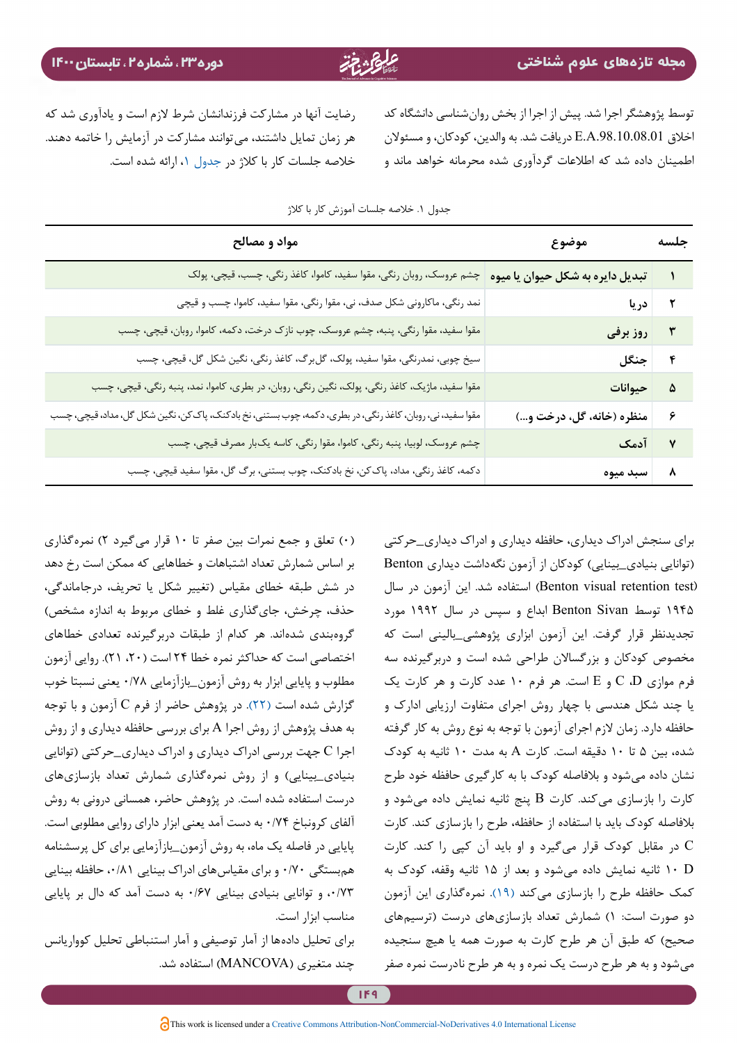<span id="page-6-0"></span>توسط پژوهشگر اجرا شد. پیش از اجرا از بخش روانشناسی دانشگاه کد اخالق .98.10.08.01A.E دریافت شد. به والدین، کودکان، و مسئوالن اطمینان داده شد که اطالعات گردآوری شده محرمانه خواهد ماند و

رضایت آنها در مشارکت فرزندانشان شرط الزم است و یادآوری شد که هر زمان تمایل داشتند، میتوانند مشارکت در آزمایش را خاتمه دهند. خالصه جلسات کار با کالژ در [جدول](#page-6-0) ،[1](#page-6-0) ارائه شده است.

| جلسه | موضوع                         | مواد و مصالح                                                                                               |  |  |  |  |  |  |
|------|-------------------------------|------------------------------------------------------------------------------------------------------------|--|--|--|--|--|--|
|      |                               | تبدیل دایره به شکل حیوان یا میوه   چشم عروسک، روبان رنگی، مقوا سفید، کاموا، کاغذ رنگی، چسب، قیچی، پولک     |  |  |  |  |  |  |
|      | ۲ دریا                        | نمد رنگی، ماکارونی شکل صدف، نی، مقوا رنگی، مقوا سفید، کاموا، چسب و قیچی                                    |  |  |  |  |  |  |
|      | ۳ روز برفی                    | مقوا سفید، مقوا رنگی، پنبه، چشم عروسک، چوب نازک درخت، دکمه، کاموا، روبان، قیچی، چسب                        |  |  |  |  |  |  |
|      | ۴  جنگل                       | سیخ چوبی، نمدرنگی، مقوا سفید، پولک، گل برگ، کاغذ رنگی، نگین شکل گل، قیچی، چسب                              |  |  |  |  |  |  |
|      | ۵ حیوانات                     | مقوا سفید، ماژیک، کاغذ رنگی، پولک، نگین رنگی، روبان، در بطری، کاموا، نمد، پنبه رنگی، قیچی، چسب             |  |  |  |  |  |  |
|      | ۶   منظره (خانه، گل، درخت و…) | مقوا سفید، نی، روبان، کاغذ رنگی، در بطری، دکمه، چوب بستنی، نخ بادکنک، پاک کن، نگین شکل گل، مداد، قیچی، چسب |  |  |  |  |  |  |
|      | ۷ آدمک                        | چشم عروسک، لوبیا، پنبه رنگی، کاموا، مقوا رنگی، کاسه یکبار مصرف قیچی، چسب                                   |  |  |  |  |  |  |
|      | ۸   سبد میوه                  | دکمه، کاغذ رنگی، مداد، پاک کن، نخ بادکنک، چوب بستنی، برگ گل، مقوا سفید قیچی، چسب                           |  |  |  |  |  |  |
|      |                               |                                                                                                            |  |  |  |  |  |  |

جدول .1 خالصه جلسات آموزش کار با کالژ

برای سنجش ادراک دیداری، حافظه دیداری و ادراک دیداری\_حرکتی (توانایی بنیادی\_بینایی) کودکان از آزمون نگهداشت دیداری Benton (Benton visual retention test) استفاده شد. این آزمون در سال 1945 توسط Sivan Benton ابداع و سپس در سال 1992 مورد تجدیدنظر قرار گرفت. این آزمون ابزاری پژوهشی\_بالینی است که مخصوص کودکان و بزرگساالن طراحی شده است و دربرگیرنده سه فرم موازی D، C و E است. هر فرم 10 عدد کارت و هر کارت یک یا چند شکل هندسی با چهار روش اجرای متفاوت ارزیابی ادارک و حافظه دارد. زمان لازم اجرای آزمون با توجه به نوع روش به کار گرفته شده، بین 5 تا 10 دقیقه است. کارت A به مدت 10 ثانیه به کودک نشان داده میشود و بالفاصله کودک با به کارگیری حافظه خود طرح کارت را بازسازی میکند. کارت B پنج ثانیه نمایش داده میشود و بالفاصله کودک باید با استفاده از حافظه، طرح را بازسازی کند. کارت C در مقابل کودک قرار میگیرد و او باید آن کپی را کند. کارت D 10 ثانیه نمایش داده میشود و بعد از 15 ثانیه وقفه، کودک به کمک حافظه طرح را بازسازی میکند [\)19\(](#page-11-17). نمرهگذاری این آزمون دو صورت است: 1( شمارش تعداد بازسازیهای درست )ترسیمهای صحیح) که طبق آن هر طرح کارت به صورت همه یا هیچ سنجیده میشود و به هر طرح درست یک نمره و به هر طرح نادرست نمره صفر

)0( تعلق و جمع نمرات بین صفر تا 10 قرار میگیرد 2( نمرهگذاری بر اساس شمارش تعداد اشتباهات و خطاهایی که ممکن است رخ دهد در شش طبقه خطای مقیاس )تغییر شکل یا تحریف، درجاماندگی، حذف، چرخش، جایگذاری غلط و خطای مربوط به اندازه مشخص( گروهبندی شدهاند. هر کدام از طبقات دربرگیرنده تعدادی خطاهای اختصاصی است که حداکثر نمره خطا ۲۴ است (۲۰، ۲۱). روایی آزمون مطلوب و پایایی ابزار به روش آزمون\_بازآزمایی 0/78 یعنی نسبتا خوب گزارش شده است (۲۲). در پژوهش حاضر از فرم C آزمون و با توجه به هدف پژوهش از روش اجرا A برای بررسی حافظه دیداری و از روش اجرا C جهت بررسی ادراک دیداری و ادراک دیداری\_حرکتی )توانایی بنیادی\_بینایی( و از روش نمرهگذاری شمارش تعداد بازسازیهای درست استفاده شده است. در پژوهش حاضر، همسانی درونی به روش آلفای کرونباخ 0/74 به دست آمد یعنی ابزار دارای روایی مطلوبی است. پایایی در فاصله يك ماه، به روش آزمون\_بازآزمایی براي کل پرسشنامه همبستگی 0/70 و براي مقیاسهای ادراک بینایی ،0/81 حافظه بینایی ،0/73 و توانایی بنیادی بینایی 0/67 به دست آمد که دال بر پایایی مناسب ابزار است.

برای تحلیل دادهها از آمار توصیفی و آمار استنباطی تحلیل کوواریانس چند متغیری )MANCOVA )استفاده شد.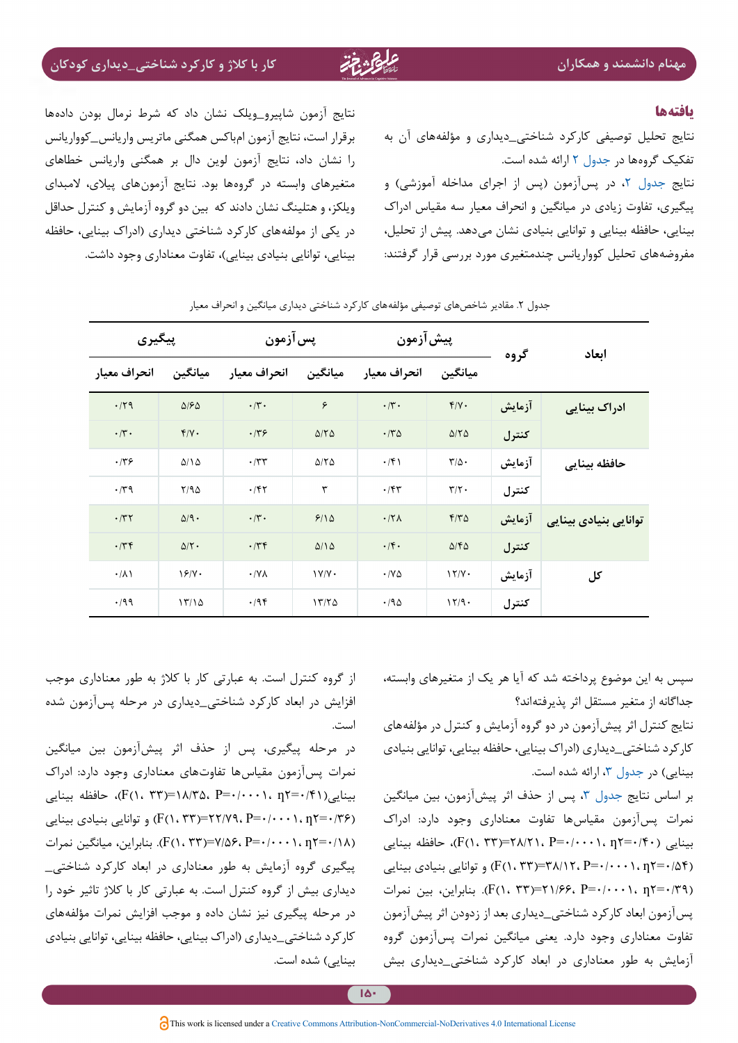#### <span id="page-7-0"></span>**یافته ها**

نتایج تحلیل توصیفی کارکرد شناختی\_دیداری و مؤلفههای آن به تفکیک گروهها در [جدول 2](#page-7-0) ارائه شده است. نتایج [جدول](#page-7-0) ۲، در پسآزمون (پس از اجرای مداخله آموزشی) و پيگيري، تفاوت زيادي در ميانگين و انحراف معیار سه مقياس ادراک بینایی، حافظه بینایی و توانایی بنیادی نشان میدهد. پیش از تحلیل، مفروضههای تحلیل کوواریانس چندمتغیری مورد بررسی قرار گرفتند:

نتایج آزمون شاپیرو\_ویلک نشان داد که شرط نرمال بودن دادهها برقرار است، نتایج آزمون امباکس همگنی ماتريس واريانس\_كوواريانس را نشان داد، نتایج آزمون لوین دال بر همگنی واریانس خطاهای متغیرهای وابسته در گروهها بود. نتایج آزمونهای پیالی، المبدای ویلکز، و هتلینگ نشان دادند که بین دو گروه آزمایش و کنترل حداقل در یکی از مولفههای کارکرد شناختی دیداری )ادراک بینایی، حافظه بینایی، توانایی بنیادی بینایی(، تفاوت معناداری وجود داشت.

| پیگیری                    |                      | پس آزمون            |                         | پيش آزمون               |                             | گروه   | ابعاد                 |  |
|---------------------------|----------------------|---------------------|-------------------------|-------------------------|-----------------------------|--------|-----------------------|--|
| انحراف معيار              | ميانگين              | انحراف معيار        | ميانگين                 | انحراف معيار            | ميانگين                     |        |                       |  |
| .179                      | $\Delta$ /۶ $\Delta$ | $\cdot/\tau$ .      | ۶                       | $\cdot/\mathsf{r}\cdot$ | $Y/Y$ .                     | آزمايش | ادراک بینایی          |  |
| $\cdot/\mathfrak{r}\cdot$ | $Y/Y$ .              | .149                | $\Delta/\Upsilon\Delta$ | $\cdot$ $\nmid$ ۳۵      | $\Delta/\Upsilon\Delta$     | كنترل  |                       |  |
| .779                      | $\Delta/\Lambda$     | $\cdot$ /٣٣         | $\Delta/\Upsilon\Delta$ | $\cdot$ /۴)             | $\mathbf{r}/\mathbf{r}$ .   | آزمايش | حافظه بينايي          |  |
| $\cdot$ /٣٩               | Y/90                 | $\cdot$ /۴۲         | ٣                       | $\cdot$ /۴۳             | $\tau/\tau$ .               | كنترل  |                       |  |
| $\cdot$ /٣٢               | $\Delta$ /9.         | $\cdot/\tau$ .      | 9/10                    | $.17\lambda$            | $F/T\Delta$                 | آزمایش | توانایی بنیادی بینایی |  |
| $\cdot$ /۳۴               | $\Delta/\Upsilon$ .  | .77                 | $\Delta/\Delta$         | $\cdot$ /۴.             | $\Delta/\mathfrak{k}\Delta$ | كنترل  |                       |  |
| $\cdot/\lambda$           | 19/4.                | $\cdot$ /Y $\wedge$ | 1Y/Y                    | $\cdot$ /YA             | 17/Y                        | آزمايش | کل                    |  |
| .199                      | 17/10                | .795                | 1770                    | .790                    | 17/9.                       | كنترل  |                       |  |

جدول ۲. مقادیر شاخصهای توصیفی مؤلفههای کارکرد شناختی دیداری میانگین و انحراف معیار

سپس به اين موضوع پرداخته شد كه آيا هر یک از متغيرهاي وابسته، جداگانه از متغير مستقل اثر پذيرفتهاند؟

نتایج كنترل اثر پيشآزمون در دو گروه آزمایش و کنترل در مؤلفههای کارکرد شناختی\_دیداری )ادراک بینایی، حافظه بینایی، توانایی بنیادی بینایی) در جدول ۳، ارائه شده است.

بر اساس نتايج [جدول](#page-8-0) ٣، پس از حذف اثر پيشآزمون، بين ميانگين نمرات پسآزمون مقیاسها تفاوت معناداری وجود دارد: ادراک بینایی (۴۰/۰۰=۲۸/۲۱، P=۰/۰۰۰۱، p)، حافظه بینایی (۱٬۵۴۰+ $P = \langle F(1, \tau^*) = \tau \lambda / 17$ ،  $P = \tau / 11$ ، بینایی بنیادی بینایی (۲۰۰۲ $F = \tau$ (٢٩/3=7 ، ٢٠٠١، -7=7 ، ٢٢/٤٣=(٢١، ٣٣). بنابراین، بین نمرات پسآزمون ابعاد کارکرد شناختی\_دیداری بعد از زدودن اثر پيشآزمون تفاوت معناداري وجود دارد. یعنی ميانگين نمرات پسآزمون گروه آزمايش به طور معناداري در ابعاد کارکرد شناختی\_دیداری بیش

از گروه کنترل است. به عبارتي کار با کالژ به طور معناداري موجب افزایش در ابعاد کارکرد شناختی\_دیداری در مرحله پسآزمون شده است.

در مرحله پیگیری، پس از حذف اثر پيشآزمون بين ميانگين نمرات پسآزمون مقیاسها تفاوتهای معناداری وجود دارد: ادراک بینایی(۲۴۱/+=۲٫۱۰۰). P=۰/۰۰۰، p۲=۰/۴۱، حافظه بینایی  $(F(1, \Upsilon Y)=Y)Y$ (F(1,  $\Upsilon YY$ ) و توانایی بنیادی بینایی (F(1,  $\Upsilon Y$ )  $(F(1. 77)=V/\Delta \mathcal{F}$ . بنابراین، میانگین نمرات (F(۱، ۲۳). پيگيري گروه آزمايش به طور معناداري در ابعاد کارکرد شناختی\_ دیداری بیش از گروه کنترل است. به عبارتي کار با کالژ تاثیر خود را در مرحله پیگیری نیز نشان داده و موجب افزایش نمرات مؤلفههای کارکرد شناختی\_دیداری )ادراک بینایی، حافظه بینایی، توانایی بنیادی بینایی) شده است.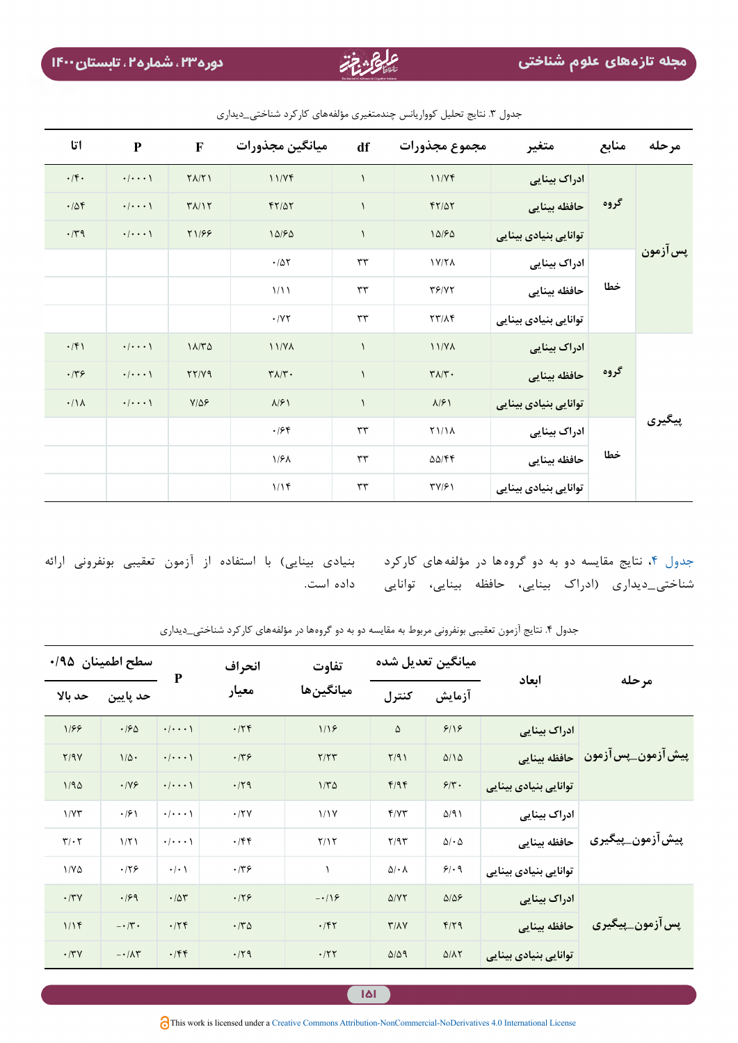| اتا             | ${\bf P}$               | $\mathbf F$                   | ميانگين مجذورات                | df            | مجموع مجذورات                  | متغير                 | منابع | مرحله    |
|-----------------|-------------------------|-------------------------------|--------------------------------|---------------|--------------------------------|-----------------------|-------|----------|
| $\cdot$ /۴.     | $\cdot/\cdot\cdot\cdot$ | $\Upsilon \Lambda / \Upsilon$ | 11/Yf                          | $\lambda$     | 11/Yf                          | ادراک بینایی          | گروه  | پس آزمون |
| .708            | $\cdot/\cdot\cdot\cdot$ | $Y/\sqrt{V}$                  | $FT/\Delta T$                  | $\lambda$     | $FT/\Delta T$                  | حافظه بينايي          |       |          |
| $\cdot$ /٣٩     | $\cdot/\cdot\cdot\cdot$ | <b>T1/99</b>                  | 10/50                          | $\lambda$     | 10/50                          | توانایی بنیادی بینایی |       |          |
|                 |                         |                               | $\cdot/\Delta\Upsilon$         | rr            | 1Y/Y                           | ادراک بینایی          | خطا   |          |
|                 |                         |                               | 1/11                           | rr            | YY/YY                          | حافظه بينايي          |       |          |
|                 |                         |                               | $\cdot$ / Y $\tau$             | rr            | $\tau\tau/\lambda\tau$         | توانایی بنیادی بینایی |       |          |
| $\cdot$ /۴۱     | $\cdot/\cdot\cdot\cdot$ | 11/T <sub>0</sub>             | 11/Y <sub>A</sub>              | $\mathcal{L}$ | 11/Y                           | ادراک بینایی          | گروه  | پیگیری   |
| .779            | $\cdot/\cdot\cdot\cdot$ | YY/Y9                         | $\mathbf{Y}\Lambda/\mathbf{Y}$ | $\lambda$     | $\mathbf{Y}\wedge\mathbf{Y}$ . | حافظه بينايي          |       |          |
| $\cdot/\Lambda$ | $\cdot/\cdot\cdot\cdot$ | $Y/\Delta P$                  | $\lambda$ /۶)                  | $\mathcal{L}$ | $\lambda$ /۶)                  | توانایی بنیادی بینایی |       |          |
|                 |                         |                               | .198                           | $\tau\tau$    | <b>TI/IA</b>                   | ادراک بینایی          | خطا   |          |
|                 |                         |                               | 1/8 <sub>A</sub>               | rr            | $\Delta\Delta/\mathfrak{k}$    | حافظه بينايي          |       |          |
|                 |                         |                               | $1/1$ ۴                        | $\tau\tau$    | $\Upsilon V/\Upsilon$          | توانایی بنیادی بینایی |       |          |

<span id="page-8-0"></span>جدول .3 نتایج تحلیل کوواریانس چندمتغیری مؤلفههای کارکرد شناختی\_دیداری

<span id="page-8-1"></span>شناختی\_دیداری (ادراک بینایی، حافظه بینایی، توانایی داده|است.

جدول ۴، نتایج مقایسه دو به دو گروهها در مؤلفههای کارکرد د بنیادی بینایی) با استفاده از آزمون تعقیبی بونفرونی ارائه

|                                        |                       | میانگین تعدیل شده          |                            | تفاوت             | انحراف      | P                       | سطح اطمينان ١٩۵/٠          |                              |
|----------------------------------------|-----------------------|----------------------------|----------------------------|-------------------|-------------|-------------------------|----------------------------|------------------------------|
| مرحله                                  | ابعاد                 | آزمايش                     | كنترل                      | ميانگينھا         | معيار       |                         | حد پایین                   | حد بالا                      |
| ْ پِیش اَزمون_پس اَزمون   حافظه بینایی | ادراک بینایی          | 9/19                       | ۵                          | 1/19              | .75         | $\cdot/\cdot\cdot\cdot$ | .190                       | 1/99                         |
|                                        |                       | $\Delta/\Delta$            | Y/91                       | Y/YY              | .779        | $\cdot/\cdot\cdot\cdot$ | $1/\Delta$ .               | Y/9Y                         |
|                                        | توانایی بنیادی بینایی | $\mathcal{F}/\mathbf{Y}$ . | F/9F                       | $1/\Gamma \Delta$ | .71         | $\cdot/\cdot\cdot\cdot$ | $\cdot$ /YF                | 1/90                         |
| پیش آزمون_پیگیری                       | ادراک بینایی          | $\Delta$ /9)               | f/YY                       | 1/1V              | .77V        | $\cdot/\cdot\cdot\cdot$ | $\cdot$ /۶)                | 1/YY                         |
|                                        | حافظه بينايي          | $\Delta/\cdot \Delta$      | Y/9Y                       | Y/Y               | $\cdot$ /۴۴ | $\cdot/\cdot\cdot\cdot$ | 1/T1                       | $\mathbf{r}/\cdot\mathbf{r}$ |
|                                        | توانایی بنیادی بینایی | 9/19                       | $\Delta/\cdot \Lambda$     |                   | .779        | $\cdot/\cdot$           | .179                       | $1/Y\Delta$                  |
| پس آزمون_پیگیری                        | ادراک بینایی          | $\Delta/\Delta$ ۶          | $\Delta$ /YT               | $-\cdot/9$        | .179        | .704                    | .199                       | $\cdot$ /٣٧                  |
|                                        | حافظه بينايي          | $f/\uparrow q$             | $\Upsilon/\Lambda\Upsilon$ | .757              | $\cdot$ /۳۵ | .75                     | $-\cdot/\tau$ .            | 1/15                         |
|                                        | توانایی بنیادی بینایی | $\Delta/\Lambda\Upsilon$   | $\Delta/\Delta$ 9          | .777              | .79         | .75                     | $-\cdot/\lambda\mathsf{r}$ | $\cdot$ /٣٧                  |

جدول ۴. نتایج آزمون تعقیبی بونفرونی مربوط به مقایسه دو به دو گروهها در مؤلفههای کارکرد شناختی\_دیداری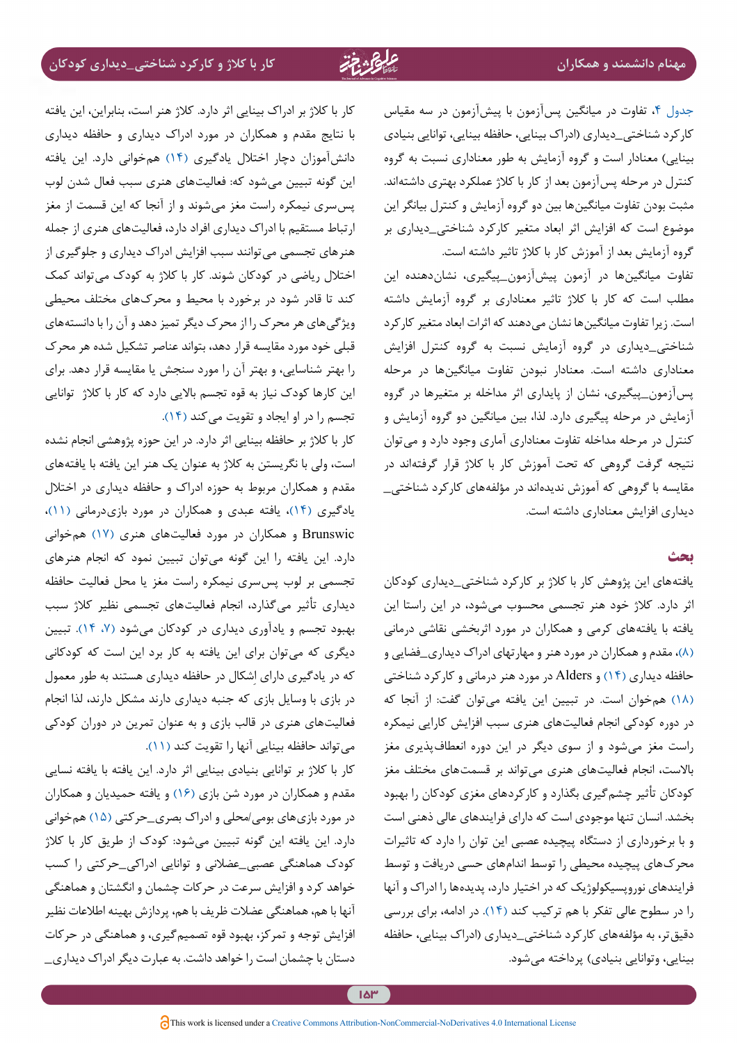جدول ۴، تفاوت در میانگین پسآزمون با پیشآزمون در سه مقیاس کارکرد شناختی\_دیداری )ادراک بینایی، حافظه بینایی، توانایی بنیادی بینایی) معنادار است و گروه آزمایش به طور معناداری نسبت به گروه کنترل در مرحله پسآزمون بعد از کار با کالژ عملکرد بهتری داشتهاند. مثبت بودن تفاوت میانگینها بین دو گروه آزمایش و کنترل بیانگر این موضوع است که افزایش اثر ابعاد متغیر کارکرد شناختی\_دیداری بر گروه آزمایش بعد از آموزش کار با کالژ تاثیر داشته است.

تفاوت میانگینها در آزمون پیشآزمون\_پیگیری، نشاندهنده این مطلب است که کار با کالژ تاثیر معناداری بر گروه آزمایش داشته است. زیرا تفاوت میانگین ها نشان می دهند که اثرات ابعاد متغیر کارکرد شناختی\_دیداری در گروه آزمایش نسبت به گروه کنترل افزایش معناداری داشته است. معنادار نبودن تفاوت میانگینها در مرحله پسآزمون\_پیگیری، نشان از پایداری اثر مداخله بر متغیرها در گروه آزمایش در مرحله پیگیری دارد. لذا، بین میانگین دو گروه آزمایش و کنترل در مرحله مداخله تفاوت معناداری آماری وجود دارد و میتوان نتیجه گرفت گروهی که تحت آموزش کار با کالژ قرار گرفتهاند در مقایسه با گروهی که آموزش ندیدهاند در مؤلفههای کارکرد شناختی\_ دیداری افزایش معناداری داشته است.

#### **بحث**

یافتههای این پژوهش کار با کالژ بر کارکرد شناختی\_دیداری کودکان اثر دارد. کالژ خود هنر تجسمی محسوب میشود، در این راستا این یافته با یافتههای کرمی و همکاران در مورد اثربخشی نقاشی درمانی )[8\(](#page-11-7)، مقدم و همکاران در مورد هنر و مهارتهای ادراک دیداری\_فضایی و حافظه دیداری )[14\(](#page-11-12) و Alders در مورد هنر درمانی و کارکرد شناختی )[18](#page-11-16)( همخوان است. در تبیین این یافته میتوان گفت: از آنجا که در دوره کودکی انجام فعالیتهای هنری سبب افزایش کارایی نیمکره راست مغز میشود و از سوی دیگر در این دوره انعطافپذیری مغز باالست، انجام فعالیتهای هنری میتواند بر قسمتهای مختلف مغز کودکان تأثیر چشمگیری بگذارد و کارکردهای مغزی کودکان را بهبود بخشد. انسان تنها موجودی است که دارای فرایندهای عالی ذهنی است و با برخورداری از دستگاه پیچیده عصبی این توان را دارد که تاثیرات محرکهای پیچیده محیطی را توسط اندامهای حسی دریافت و توسط فرایندهای نوروپسیکولوژیک که در اختیار دارد، پدیدهها را ادراک و آنها را در سطوح عالی تفکر با هم ترکیب کند [\)14\(](#page-11-12). در ادامه، برای بررسی دقیقتر، به مؤلفههای کارکرد شناختی\_دیداری )ادراک بینایی، حافظه بینایی، وتوانایی بنیادی) پرداخته میشود.

کار با کالژ بر ادراک بینایی اثر دارد. کالژ هنر است، بنابراین، این یافته با نتایج مقدم و همکاران در مورد ادراک دیداری و حافظه دیداری دانشآموزان دچار اختالل یادگیری [\)14](#page-11-12)( همخوانی دارد. این یافته این گونه تبیین میشود که: فعالیتهای هنری سبب فعال شدن لوب پسسری نیمکره راست مغز میشوند و از آنجا که این قسمت از مغز ارتباط مستقیم با ادراک دیداری افراد دارد، فعالیتهای هنری از جمله هنرهای تجسمی میتوانند سبب افزایش ادراک دیداری و جلوگیری از اختالل ریاضی در کودکان شوند. کار با کالژ به کودک میتواند کمک کند تا قادر شود در برخورد با محیط و محرکهای مختلف محیطی ویژگیهای هر محرک را از محرک دیگر تمیز دهد و آن را با دانستههای قبلی خود مورد مقایسه قرار دهد، بتواند عناصر تشکیل شده هر محرک را بهتر شناسایی، و بهتر آن را مورد سنجش یا مقایسه قرار دهد. برای این کارها کودک نیاز به قوه تجسم باالیی دارد که کار با کالژ توانایی تجسم را در او ایجاد و تقویت می کند (۱۴).

کار با کالژ بر حافظه بینایی اثر دارد. در این حوزه پژوهشی انجام نشده است، ولی با نگریستن به کالژ به عنوان یک هنر این یافته با یافتههای مقدم و همکاران مربوط به حوزه ادراک و حافظه دیداری در اختالل یادگیری (۱۴)، یافته عبدی و همکاران در مورد بازیدرمانی (۱۱)، Brunswic و همکاران در مورد فعالیتهای هنری )[17\(](#page-11-15) همخوانی دارد. این یافته را این گونه میتوان تبیین نمود که انجام هنرهای تجسمی بر لوب پسسری نیمکره راست مغز یا محل فعالیت حافظه دیداری تأثیر میگذارد، انجام فعالیتهای تجسمی نظیر کالژ سبب بهبود تجسم و یادآوری دیداری در کودکان میشود )،[7](#page-11-6) [14\(](#page-11-12). تبیین دیگری که میتوان برای این یافته به کار برد این است که کودکانی که در یادگیری دارای اِشکال در حافظه دیداری هستند به طور معمول در بازی با وسایل بازی که جنبه دیداری دارند مشکل دارند، لذا انجام فعالیتهای هنری در قالب بازی و به عنوان تمرین در دوران کودکی می تواند حافظه بینایی آنها را تقویت کند (١١).

کار با کالژ بر توانایی بنیادی بینایی اثر دارد. این یافته با یافته نسایی مقدم و همکاران در مورد شن بازی [\)16](#page-11-18)( و یافته حمیدیان و همکاران در مورد بازيهاي بومی/محلی و ادراك بصری\_حرکتی )[15\(](#page-11-13) همخوانی دارد. این یافته این گونه تبیین میشود: کودک از طریق کار با کالژ کودک هماهنگی عصبی\_عضالنی و توانایی ادراکی\_حرکتی را کسب خواهد کرد و افزایش سرعت در حرکات چشمان و انگشتان و هماهنگی آنها با هم، هماهنگی عضالت ظریف با هم، پردازش بهینه اطالعات نظیر افزایش توجه و تمرکز، بهبود قوه تصمیمگیری، و هماهنگی در حرکات دستان با چشمان است را خواهد داشت. به عبارت دیگر ادراک دیداری\_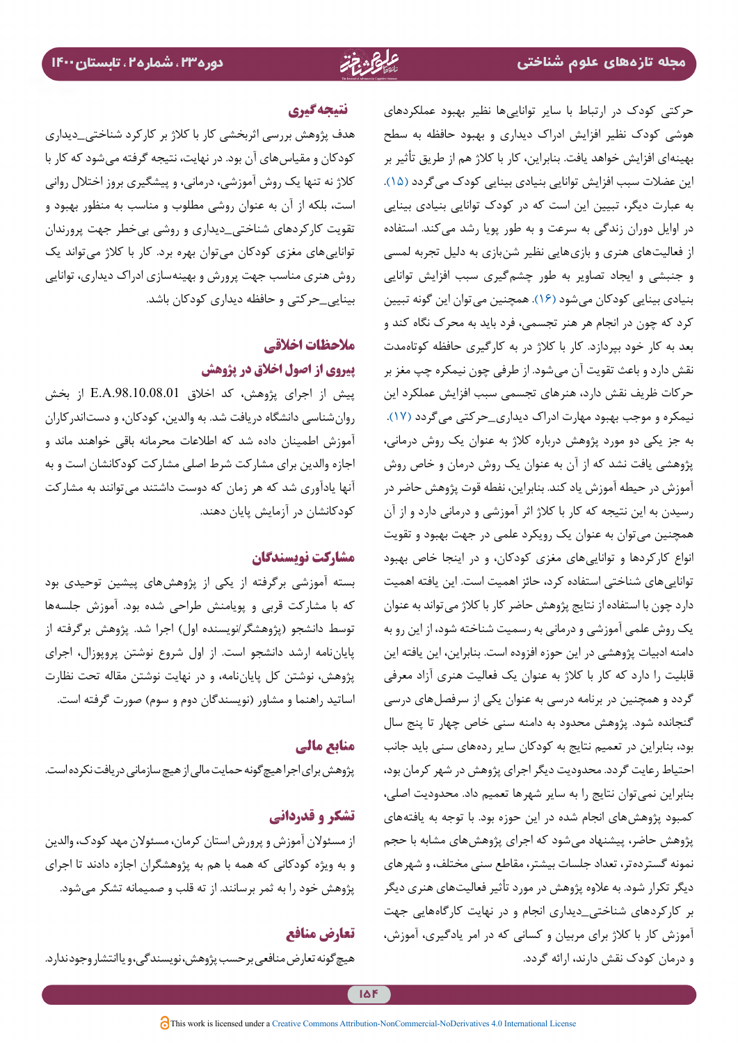حرکتی کودک در ارتباط با سایر تواناییها نظیر بهبود عملکردهای هوشی کودک نظیر افزایش ادراک دیداری و بهبود حافظه به سطح بهینهای افزایش خواهد یافت. بنابراین، کار با کالژ هم از طریق تأثیر بر این عضالت سبب افزایش توانایی بنیادی بینایی کودک میگردد [\)15](#page-11-13)(. به عبارت دیگر، تبیین این است که در کودک توانایی بنیادی بینایی در اوایل دوران زندگی به سرعت و به طور پویا رشد میکند. استفاده از فعالیتهای هنری و بازیهایی نظیر شنبازی به دلیل تجربه لمسی و جنبشی و ایجاد تصاویر به طور چشمگیری سبب افزایش توانایی بنیادی بینایی کودکان میشود [\)16\(](#page-11-18). همچنین میتوان این گونه تبیین کرد که چون در انجام هر هنر تجسمی، فرد باید به محرک نگاه کند و بعد به کار خود بپردازد. کار با کالژ در به کارگیری حافظه کوتاهمدت نقش دارد و باعث تقویت آن میشود. از طرفی چون نیمکره چپ مغز بر حرکات ظریف نقش دارد، هنرهای تجسمی سبب افزایش عملکرد این نیمکره و موجب بهبود مهارت ادراک دیداری\_حرکتی میگردد )[17\(](#page-11-15). به جز یکی دو مورد پژوهش درباره کالژ به عنوان یک روش درمانی، پژوهشی یافت نشد که از آن به عنوان یک روش درمان و خاص روش آموزش در حیطه آموزش یاد کند. بنابراین، نفطه قوت پژوهش حاضر در رسیدن به این نتیجه که کار با کالژ اثر آموزشی و درمانی دارد و از آن همچنین میتوان به عنوان یک رویکرد علمی در جهت بهبود و تقویت انواع کارکردها و تواناییهای مغزی کودکان، و در اینجا خاص بهبود تواناییهای شناختی استفاده کرد، حائز اهمیت است. این یافته اهمیت دارد چون با استفاده از نتایج پژوهش حاضر کار با کلاژ می تواند به عنوان یک روش علمی آموزشی و درمانی به رسمیت شناخته شود، از این رو به دامنه ادبیات پژوهشی در این حوزه افزوده است. بنابراین، این یافته این قابلیت را دارد که کار با کالژ به عنوان یک فعالیت هنری آزاد معرفی گردد و همچنین در برنامه درسی به عنوان یکی از سرفصلهای درسی گنجانده شود. پژوهش محدود به دامنه سنی خاص چهار تا پنج سال بود، بنابراین در تعمیم نتایج به کودکان سایر ردههای سنی باید جانب احتیاط رعایت گردد. محدودیت دیگر اجرای پژوهش در شهر کرمان بود، بنابراین نمیتوان نتایج را به سایر شهرها تعمیم داد. محدودیت اصلی، کمبود پژوهشهای انجام شده در این حوزه بود. با توجه به یافتههای پژوهش حاضر، پیشنهاد میشود که اجرای پژوهشهای مشابه با حجم نمونه گستردهتر، تعداد جلسات بیشتر، مقاطع سنی مختلف، و شهرهای دیگر تکرار شود. به عالوه پژوهش در مورد تأثیر فعالیتهای هنری دیگر بر کارکردهای شناختی\_دیداری انجام و در نهایت کارگاههایی جهت آموزش کار با کالژ برای مربیان و کسانی که در امر یادگیری، آموزش، و درمان کودک نقش دارند، ارائه گردد.

### **نتیجه گیری**

هدف پژوهش بررسی اثربخشی کار با کالژ بر کارکرد شناختی\_دیداری کودکان و مقیاسهای آن بود. در نهایت، نتیجه گرفته میشود که کار با کالژ نه تنها یک روش آموزشی، درمانی، و پیشگیری بروز اختالل روانی است، بلکه از آن به عنوان روشی مطلوب و مناسب به منظور بهبود و تقویت کارکردهای شناختی\_دیداری و روشی بیخطر جهت پرورندان توانایی های مغزی کودکان میتوان بهره برد. کار با کلاژ میتواند یک روش هنری مناسب جهت پرورش و بهینهسازی ادراک دیداری، توانایی بینایی\_حرکتی و حافظه دیداری کودکان باشد.

## **مالحظات اخالقی پیروی از اصول اخالق در پژوهش**

پیش از اجرای پژوهش، کد اخلاق E.A.98.10.08.01 از بخش روانشناسی دانشگاه دریافت شد. به والدین، کودکان، و دستاندرکاران آموزش اطمینان داده شد که اطالعات محرمانه باقی خواهند ماند و اجازه والدین برای مشارکت شرط اصلی مشارکت کودکانشان است و به آنها یادآوری شد که هر زمان که دوست داشتند میتوانند به مشارکت کودکانشان در آزمایش پایان دهند.

### **مشارکت نویسندگان**

بسته آموزشی برگرفته از یکی از پژوهشهای پیشین توحیدی بود که با مشارکت قربی و پویامنش طراحی شده بود. آموزش جلسهها توسط دانشجو (پژوهشگر/نویسنده اول) اجرا شد. پژوهش برگرفته از پایاننامه ارشد دانشجو است. از اول شروع نوشتن پروپوزال، اجرای پژوهش، نوشتن کل پایاننامه، و در نهایت نوشتن مقاله تحت نظارت اساتید راهنما و مشاور )نویسندگان دوم و سوم( صورت گرفته است.

### **منابع مالی**

پژوهش برای اجرا هیچگونه حمایت مالی از هیچ سازمانی دریافت نکرده است.

### **تشکر و قدردانی**

از مسئوالن آموزش و پرورش استان کرمان، مسئوالن مهد کودک، والدین و به ویژه کودکانی که همه با هم به پژوهشگران اجازه دادند تا اجرای پژوهش خود را به ثمر برسانند. از ته قلب و صمیمانه تشکر میشود.

### **تعارض منافع**

هیچگونه تعارض منافعی برحسب پژوهش، نویسندگی، و یا انتشار وجود ندارد.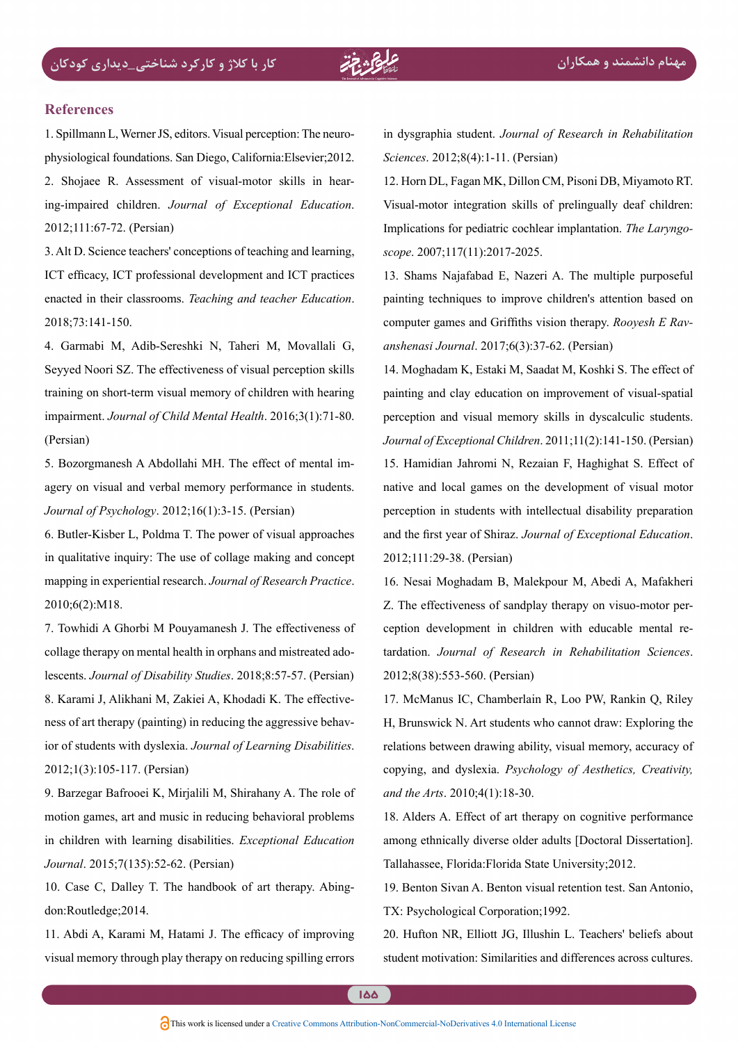#### **References**

<span id="page-11-1"></span><span id="page-11-0"></span>physiological foundations. San Diego, California: Elsevier: 2012. 1. Spillmann L, Werner JS, editors. Visual perception: The neuroing-impaired children. Journal of Exceptional Education. 2. Shojaee R. Assessment of visual-motor skills in hear-2012;111:67-72. (Persian)

<span id="page-11-2"></span>3. Alt D. Science teachers' conceptions of teaching and learning. ICT efficacy, ICT professional development and ICT practices enacted in their classrooms. *Teaching and teacher Education*. 2018:73:141-150.

<span id="page-11-3"></span>4. Garmabi M, Adib-Sereshki N, Taheri M, Movallali G, Seyyed Noori SZ. The effectiveness of visual perception skills training on short-term visual memory of children with hearing impairment. *Journal of Child Mental Health.* 2016:3(1):71-80. (Persian)

<span id="page-11-4"></span>agery on visual and verbal memory performance in students. 5. Bozorgmanesh A Abdollahi MH. The effect of mental im-*Journal of Psychology.* 2012;16(1):3-15. (Persian)

<span id="page-11-5"></span>6. Butler-Kisber L, Poldma T. The power of visual approaches in qualitative inquiry: The use of collage making and concept mapping in experiential research. Journal of Research Practice. 2010:6(2):M18.

<span id="page-11-7"></span><span id="page-11-6"></span>7. Towhidi A Ghorbi M Pouyamanesh J. The effectiveness of lescents. *Journal of Disability Studies*. 2018;8:57-57. (Persian) collage therapy on mental health in orphans and mistreated adoior of students with dyslexia. Journal of Learning Disabilities. heta aggressive behav-8. Karami J, Alikhani M, Zakiei A, Khodadi K. The effective-2012;1(3):105-117. (Persian)

<span id="page-11-8"></span>9. Barzegar Bafrooei K, Mirjalili M, Shirahany A. The role of motion games, art and music in reducing behavioral problems in children with learning disabilities. *Exceptional Education* Journal. 2015;7(135):52-62. (Persian)

<span id="page-11-9"></span>10. Case C, Dalley T. The handbook of art therapy. Abing-<br>don:Routledge;2014.

<span id="page-11-10"></span>11. Abdi A, Karami M, Hatami J. The efficacy of improving visual memory through play therapy on reducing spilling errors in dysgraphia student. Journal of Research in Rehabilitation Sciences. 2012:8(4):1-11. (Persian)

<span id="page-11-14"></span>12. Horn DL, Fagan MK, Dillon CM, Pisoni DB, Miyamoto RT. Visual-motor integration skills of prelingually deaf children: Implications for pediatric cochlear implantation. *The Laryngo-*<br>*scope*. 2007;117(11):2017-2025.

<span id="page-11-11"></span>13. Shams Najafabad E, Nazeri A. The multiple purposeful painting techniques to improve children's attention based on computer games and Griffiths vision therapy. *Rooyesh E Ravanshenasi Journal.* 2017;6(3):37-62. (Persian)

<span id="page-11-13"></span><span id="page-11-12"></span>14. Moghadam K, Estaki M, Saadat M, Koshki S. The effect of painting and clay education on improvement of visual-spatial perception and visual memory skills in dyscalculic students. *Journal of Exceptional Children.* 2011;11(2):141-150. (Persian) 15. Hamidian Jahromi N, Rezaian F, Haghighat S. Effect of native and local games on the development of visual motor perception in students with intellectual disability preparation and the first year of Shiraz. Journal of Exceptional Education. 2012;111:29-38. (Persian)

<span id="page-11-18"></span>16. Nesai Moghadam B, Malekpour M, Abedi A, Mafakheri tardation. Journal of Research in Rehabilitation Sciences. ception development in children with educable mental re-Z. The effectiveness of sandplay therapy on visuo-motor per-2012;8(38):553-560. (Persian)

<span id="page-11-15"></span>17. McManus IC, Chamberlain R, Loo PW, Rankin O, Riley H, Brunswick N. Art students who cannot draw: Exploring the relations between drawing ability, visual memory, accuracy of copying, and dyslexia. *Psychology of Aesthetics, Creativity*, and the Arts. 2010;4(1):18-30.

<span id="page-11-16"></span>18. Alders A. Effect of art therapy on cognitive performance among ethnically diverse older adults [Doctoral Dissertation]. Tallahassee, Florida:Florida State University; 2012.

<span id="page-11-17"></span>19. Benton Sivan A. Benton visual retention test. San Antonio, TX: Psychological Corporation; 1992.

20. Hufton NR, Elliott JG, Illushin L. Teachers' beliefs about student motivation: Similarities and differences across cultures.